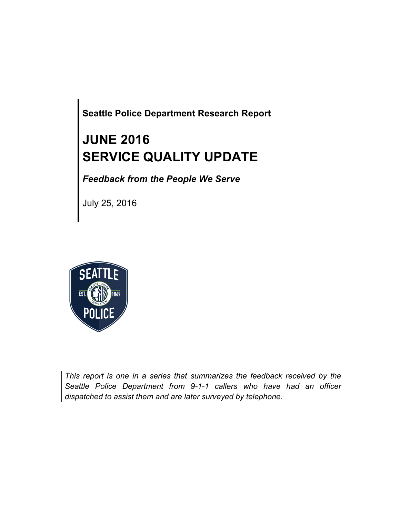**Seattle Police Department Research Report**

# **JUNE 2016 SERVICE QUALITY UPDATE**

*Feedback from the People We Serve*

July 25, 2016



*This report is one in a series that summarizes the feedback received by the Seattle Police Department from 9-1-1 callers who have had an officer dispatched to assist them and are later surveyed by telephone.*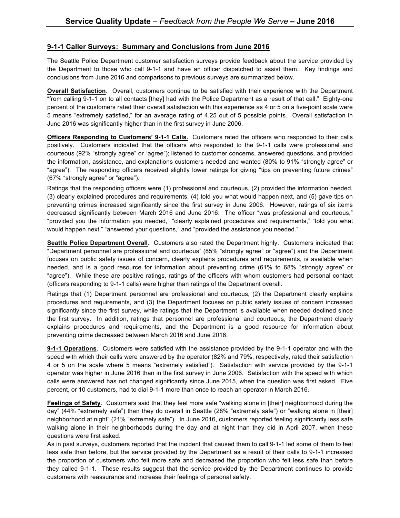#### **9-1-1 Caller Surveys: Summary and Conclusions from June 2016**

The Seattle Police Department customer satisfaction surveys provide feedback about the service provided by the Department to those who call 9-1-1 and have an officer dispatched to assist them. Key findings and conclusions from June 2016 and comparisons to previous surveys are summarized below.

**Overall Satisfaction**. Overall, customers continue to be satisfied with their experience with the Department "from calling 9-1-1 on to all contacts [they] had with the Police Department as a result of that call." Eighty-one percent of the customers rated their overall satisfaction with this experience as 4 or 5 on a five-point scale were 5 means "extremely satisfied," for an average rating of 4.25 out of 5 possible points. Overall satisfaction in June 2016 was significantly higher than in the first survey in June 2006.

**Officers Responding to Customers' 9-1-1 Calls.** Customers rated the officers who responded to their calls positively. Customers indicated that the officers who responded to the 9-1-1 calls were professional and courteous (92% "strongly agree" or "agree"); listened to customer concerns, answered questions, and provided the information, assistance, and explanations customers needed and wanted (80% to 91% "strongly agree" or "agree"). The responding officers received slightly lower ratings for giving "tips on preventing future crimes" (67% "strongly agree" or "agree").

Ratings that the responding officers were (1) professional and courteous, (2) provided the information needed, (3) clearly explained procedures and requirements, (4) told you what would happen next, and (5) gave tips on preventing crimes increased significantly since the first survey in June 2006. However, ratings of six items decreased significantly between March 2016 and June 2016: The officer "was professional and courteous," "provided you the information you needed," "clearly explained procedures and requirements," "told you what would happen next," "answered your questions," and "provided the assistance you needed."

**Seattle Police Department Overall**. Customers also rated the Department highly. Customers indicated that "Department personnel are professional and courteous" (85% "strongly agree" or "agree") and the Department focuses on public safety issues of concern, clearly explains procedures and requirements, is available when needed, and is a good resource for information about preventing crime (61% to 68% "strongly agree" or "agree"). While these are positive ratings, ratings of the officers with whom customers had personal contact (officers responding to 9-1-1 calls) were higher than ratings of the Department overall.

Ratings that (1) Department personnel are professional and courteous, (2) the Department clearly explains procedures and requirements, and (3) the Department focuses on public safety issues of concern increased significantly since the first survey, while ratings that the Department is available when needed declined since the first survey. In addition, ratings that personnel are professional and courteous, the Department clearly explains procedures and requirements, and the Department is a good resource for information about preventing crime decreased between March 2016 and June 2016.

**9-1-1 Operations**. Customers were satisfied with the assistance provided by the 9-1-1 operator and with the speed with which their calls were answered by the operator (82% and 79%, respectively, rated their satisfaction 4 or 5 on the scale where 5 means "extremely satisfied"). Satisfaction with service provided by the 9-1-1 operator was higher in June 2016 than in the first survey in June 2006. Satisfaction with the speed with which calls were answered has not changed significantly since June 2015, when the question was first asked. Five percent, or 10 customers, had to dial 9-1-1 more than once to reach an operator in March 2016.

**Feelings of Safety**. Customers said that they feel more safe "walking alone in [their] neighborhood during the day" (44% "extremely safe") than they do overall in Seattle (28% "extremely safe") or "walking alone in [their] neighborhood at night" (21% "extremely safe"). In June 2016, customers reported feeling significantly less safe walking alone in their neighborhoods during the day and at night than they did in April 2007, when these questions were first asked.

As in past surveys, customers reported that the incident that caused them to call 9-1-1 led some of them to feel less safe than before, but the service provided by the Department as a result of their calls to 9-1-1 increased the proportion of customers who felt more safe and decreased the proportion who felt less safe than before they called 9-1-1. These results suggest that the service provided by the Department continues to provide customers with reassurance and increase their feelings of personal safety.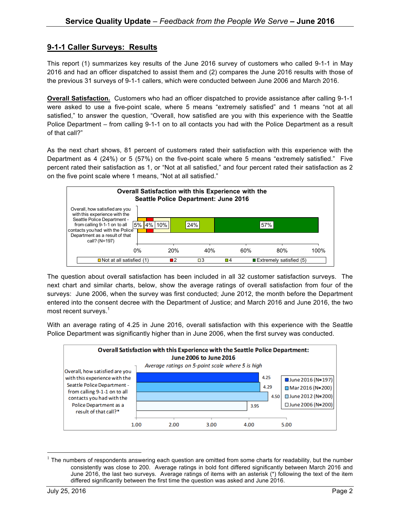## **9-1-1 Caller Surveys: Results**

This report (1) summarizes key results of the June 2016 survey of customers who called 9-1-1 in May 2016 and had an officer dispatched to assist them and (2) compares the June 2016 results with those of the previous 31 surveys of 9-1-1 callers, which were conducted between June 2006 and March 2016.

**Overall Satisfaction.** Customers who had an officer dispatched to provide assistance after calling 9-1-1 were asked to use a five-point scale, where 5 means "extremely satisfied" and 1 means "not at all satisfied," to answer the question, "Overall, how satisfied are you with this experience with the Seattle Police Department – from calling 9-1-1 on to all contacts you had with the Police Department as a result of that call?"

As the next chart shows, 81 percent of customers rated their satisfaction with this experience with the Department as 4 (24%) or 5 (57%) on the five-point scale where 5 means "extremely satisfied." Five percent rated their satisfaction as 1, or "Not at all satisfied," and four percent rated their satisfaction as 2 on the five point scale where 1 means, "Not at all satisfied."



The question about overall satisfaction has been included in all 32 customer satisfaction surveys. The next chart and similar charts, below, show the average ratings of overall satisfaction from four of the surveys: June 2006, when the survey was first conducted; June 2012, the month before the Department entered into the consent decree with the Department of Justice; and March 2016 and June 2016, the two most recent surveys.<sup>1</sup>

With an average rating of 4.25 in June 2016, overall satisfaction with this experience with the Seattle Police Department was significantly higher than in June 2006, when the first survey was conducted.



 $1$  The numbers of respondents answering each question are omitted from some charts for readability, but the number consistently was close to 200. Average ratings in bold font differed significantly between March 2016 and June 2016, the last two surveys. Average ratings of items with an asterisk (\*) following the text of the item differed significantly between the first time the question was asked and June 2016.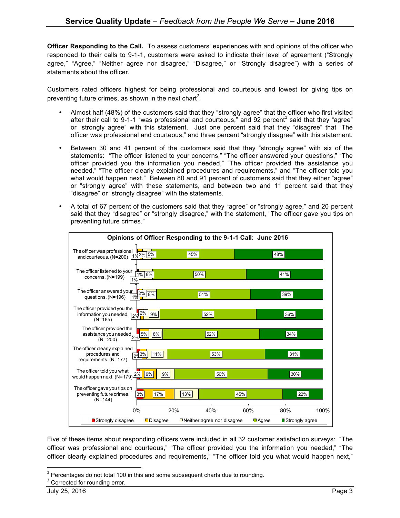**Officer Responding to the Call.** To assess customers' experiences with and opinions of the officer who responded to their calls to 9-1-1, customers were asked to indicate their level of agreement ("Strongly agree," "Agree," "Neither agree nor disagree," "Disagree," or "Strongly disagree") with a series of statements about the officer.

Customers rated officers highest for being professional and courteous and lowest for giving tips on preventing future crimes, as shown in the next chart<sup>2</sup>.

- Almost half (48%) of the customers said that they "strongly agree" that the officer who first visited after their call to 9-1-1 "was professional and courteous," and 92 percent $3$  said that they "agree" or "strongly agree" with this statement. Just one percent said that they "disagree" that "The officer was professional and courteous," and three percent "strongly disagree" with this statement.
- Between 30 and 41 percent of the customers said that they "strongly agree" with six of the statements: "The officer listened to your concerns," "The officer answered your questions," "The officer provided you the information you needed," "The officer provided the assistance you needed," "The officer clearly explained procedures and requirements," and "The officer told you what would happen next." Between 80 and 91 percent of customers said that they either "agree" or "strongly agree" with these statements, and between two and 11 percent said that they "disagree" or "strongly disagree" with the statements.
- A total of 67 percent of the customers said that they "agree" or "strongly agree," and 20 percent said that they "disagree" or "strongly disagree," with the statement, "The officer gave you tips on preventing future crimes."



Five of these items about responding officers were included in all 32 customer satisfaction surveys: "The officer was professional and courteous," "The officer provided you the information you needed," "The officer clearly explained procedures and requirements," "The officer told you what would happen next,"

 $2$  Percentages do not total 100 in this and some subsequent charts due to rounding.

 $3$  Corrected for rounding error.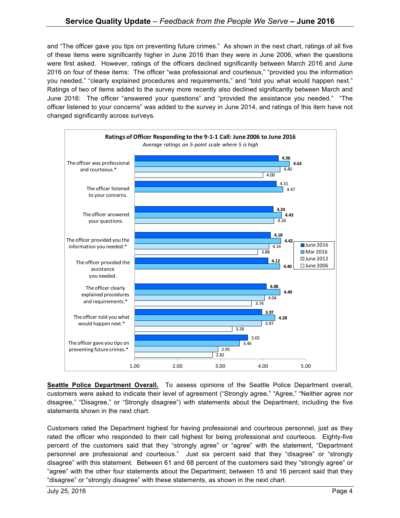and "The officer gave you tips on preventing future crimes." As shown in the next chart, ratings of all five of these items were significantly higher in June 2016 than they were in June 2006, when the questions were first asked. However, ratings of the officers declined significantly between March 2016 and June 2016 on four of these items: The officer "was professional and courteous," "provided you the information you needed," "clearly explained procedures and requirements," and "told you what would happen next." Ratings of two of items added to the survey more recently also declined significantly between March and June 2016: The officer "answered your questions" and "provided the assistance you needed." "The officer listened to your concerns" was added to the survey in June 2014, and ratings of this item have not changed significantly across surveys.



**Seattle Police Department Overall.** To assess opinions of the Seattle Police Department overall, customers were asked to indicate their level of agreement ("Strongly agree," "Agree," "Neither agree nor disagree," "Disagree," or "Strongly disagree") with statements about the Department, including the five statements shown in the next chart.

Customers rated the Department highest for having professional and courteous personnel, just as they rated the officer who responded to their call highest for being professional and courteous. Eighty-five percent of the customers said that they "strongly agree" or "agree" with the statement, "Department personnel are professional and courteous." Just six percent said that they "disagree" or "strongly disagree" with this statement. Between 61 and 68 percent of the customers said they "strongly agree" or "agree" with the other four statements about the Department; between 15 and 16 percent said that they "disagree" or "strongly disagree" with these statements, as shown in the next chart.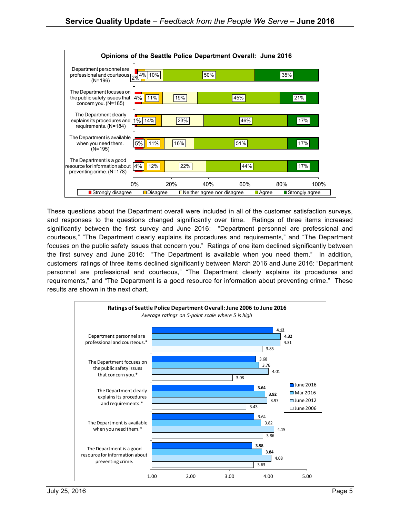

These questions about the Department overall were included in all of the customer satisfaction surveys, and responses to the questions changed significantly over time. Ratings of three items increased significantly between the first survey and June 2016: "Department personnel are professional and courteous," "The Department clearly explains its procedures and requirements," and "The Department focuses on the public safety issues that concern you." Ratings of one item declined significantly between the first survey and June 2016: "The Department is available when you need them." In addition, customers' ratings of three items declined significantly between March 2016 and June 2016: "Department personnel are professional and courteous," "The Department clearly explains its procedures and requirements," and "The Department is a good resource for information about preventing crime." These results are shown in the next chart.

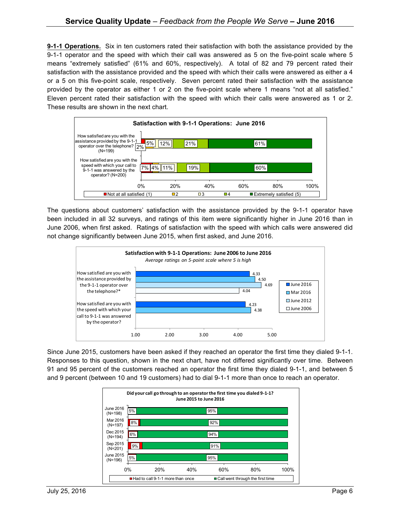**9-1-1 Operations.** Six in ten customers rated their satisfaction with both the assistance provided by the 9-1-1 operator and the speed with which their call was answered as 5 on the five-point scale where 5 means "extremely satisfied" (61% and 60%, respectively). A total of 82 and 79 percent rated their satisfaction with the assistance provided and the speed with which their calls were answered as either a 4 or a 5 on this five-point scale, respectively. Seven percent rated their satisfaction with the assistance provided by the operator as either 1 or 2 on the five-point scale where 1 means "not at all satisfied." Eleven percent rated their satisfaction with the speed with which their calls were answered as 1 or 2. These results are shown in the next chart.



The questions about customers' satisfaction with the assistance provided by the 9-1-1 operator have been included in all 32 surveys, and ratings of this item were significantly higher in June 2016 than in June 2006, when first asked. Ratings of satisfaction with the speed with which calls were answered did not change significantly between June 2015, when first asked, and June 2016.



Since June 2015, customers have been asked if they reached an operator the first time they dialed 9-1-1. Responses to this question, shown in the next chart, have not differed significantly over time. Between 91 and 95 percent of the customers reached an operator the first time they dialed 9-1-1, and between 5 and 9 percent (between 10 and 19 customers) had to dial 9-1-1 more than once to reach an operator.

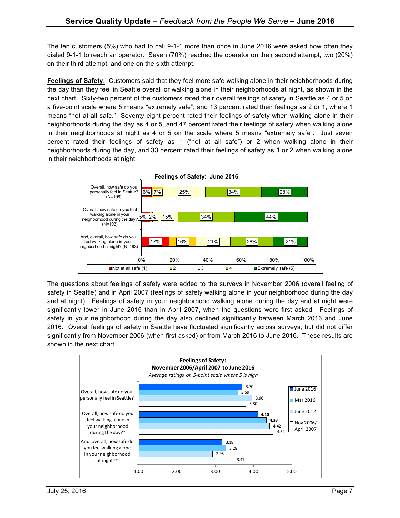The ten customers (5%) who had to call 9-1-1 more than once in June 2016 were asked how often they dialed 9-1-1 to reach an operator. Seven (70%) reached the operator on their second attempt, two (20%) on their third attempt, and one on the sixth attempt.

**Feelings of Safety.** Customers said that they feel more safe walking alone in their neighborhoods during the day than they feel in Seattle overall or walking alone in their neighborhoods at night, as shown in the next chart. Sixty-two percent of the customers rated their overall feelings of safety in Seattle as 4 or 5 on a five-point scale where 5 means "extremely safe"; and 13 percent rated their feelings as 2 or 1, where 1 means "not at all safe." Seventy-eight percent rated their feelings of safety when walking alone in their neighborhoods during the day as 4 or 5, and 47 percent rated their feelings of safety when walking alone in their neighborhoods at night as 4 or 5 on the scale where 5 means "extremely safe". Just seven percent rated their feelings of safety as 1 ("not at all safe") or 2 when walking alone in their neighborhoods during the day, and 33 percent rated their feelings of safety as 1 or 2 when walking alone in their neighborhoods at night.



The questions about feelings of safety were added to the surveys in November 2006 (overall feeling of safety in Seattle) and in April 2007 (feelings of safety walking alone in your neighborhood during the day and at night). Feelings of safety in your neighborhood walking alone during the day and at night were significantly lower in June 2016 than in April 2007, when the questions were first asked. Feelings of safety in your neighborhood during the day also declined significantly between March 2016 and June 2016. Overall feelings of safety in Seattle have fluctuated significantly across surveys, but did not differ significantly from November 2006 (when first asked) or from March 2016 to June 2016. These results are shown in the next chart.

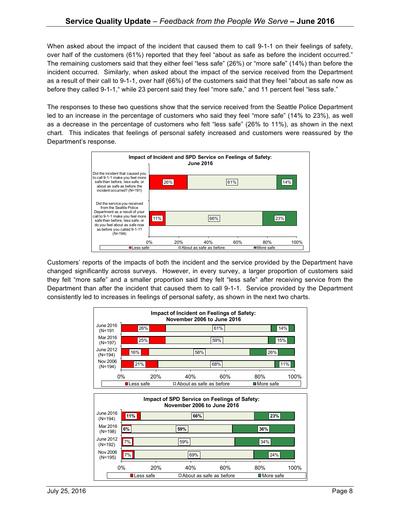When asked about the impact of the incident that caused them to call 9-1-1 on their feelings of safety, over half of the customers (61%) reported that they feel "about as safe as before the incident occurred." The remaining customers said that they either feel "less safe" (26%) or "more safe" (14%) than before the incident occurred. Similarly, when asked about the impact of the service received from the Department as a result of their call to 9-1-1, over half (66%) of the customers said that they feel "about as safe now as before they called 9-1-1," while 23 percent said they feel "more safe," and 11 percent feel "less safe."

The responses to these two questions show that the service received from the Seattle Police Department led to an increase in the percentage of customers who said they feel "more safe" (14% to 23%), as well as a decrease in the percentage of customers who felt "less safe" (26% to 11%), as shown in the next chart. This indicates that feelings of personal safety increased and customers were reassured by the Department's response.



Customers' reports of the impacts of both the incident and the service provided by the Department have changed significantly across surveys. However, in every survey, a larger proportion of customers said they felt "more safe" and a smaller proportion said they felt "less safe" after receiving service from the Department than after the incident that caused them to call 9-1-1. Service provided by the Department consistently led to increases in feelings of personal safety, as shown in the next two charts.